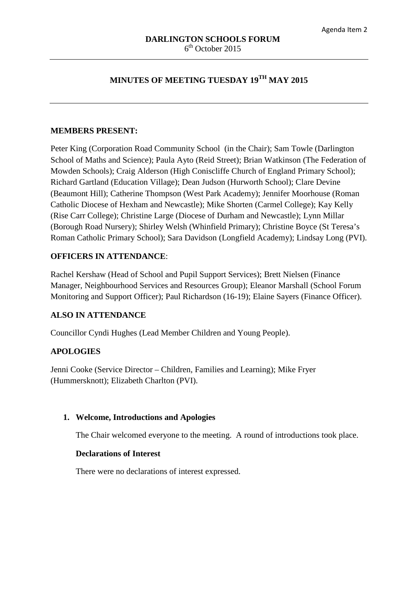# **MINUTES OF MEETING TUESDAY 19TH MAY 2015**

#### **MEMBERS PRESENT:**

Peter King (Corporation Road Community School (in the Chair); Sam Towle (Darlington School of Maths and Science); Paula Ayto (Reid Street); Brian Watkinson (The Federation of Mowden Schools); Craig Alderson (High Coniscliffe Church of England Primary School); Richard Gartland (Education Village); Dean Judson (Hurworth School); Clare Devine (Beaumont Hill); Catherine Thompson (West Park Academy); Jennifer Moorhouse (Roman Catholic Diocese of Hexham and Newcastle); Mike Shorten (Carmel College); Kay Kelly (Rise Carr College); Christine Large (Diocese of Durham and Newcastle); Lynn Millar (Borough Road Nursery); Shirley Welsh (Whinfield Primary); Christine Boyce (St Teresa's Roman Catholic Primary School); Sara Davidson (Longfield Academy); Lindsay Long (PVI).

#### **OFFICERS IN ATTENDANCE**:

Rachel Kershaw (Head of School and Pupil Support Services); Brett Nielsen (Finance Manager, Neighbourhood Services and Resources Group); Eleanor Marshall (School Forum Monitoring and Support Officer); Paul Richardson (16-19); Elaine Sayers (Finance Officer).

#### **ALSO IN ATTENDANCE**

Councillor Cyndi Hughes (Lead Member Children and Young People).

# **APOLOGIES**

Jenni Cooke (Service Director – Children, Families and Learning); Mike Fryer (Hummersknott); Elizabeth Charlton (PVI).

#### **1. Welcome, Introductions and Apologies**

The Chair welcomed everyone to the meeting. A round of introductions took place.

#### **Declarations of Interest**

There were no declarations of interest expressed.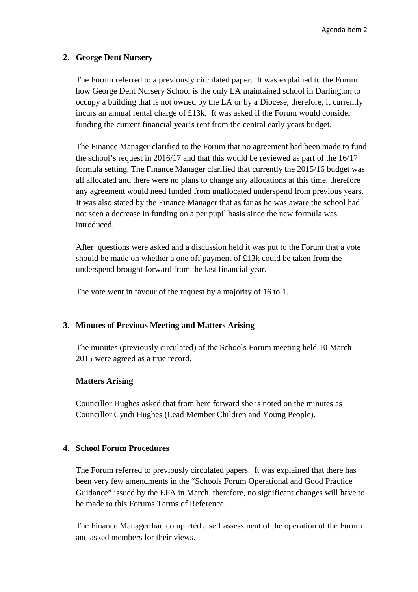#### **2. George Dent Nursery**

The Forum referred to a previously circulated paper. It was explained to the Forum how George Dent Nursery School is the only LA maintained school in Darlington to occupy a building that is not owned by the LA or by a Diocese, therefore, it currently incurs an annual rental charge of £13k. It was asked if the Forum would consider funding the current financial year's rent from the central early years budget.

The Finance Manager clarified to the Forum that no agreement had been made to fund the school's request in 2016/17 and that this would be reviewed as part of the 16/17 formula setting. The Finance Manager clarified that currently the 2015/16 budget was all allocated and there were no plans to change any allocations at this time, therefore any agreement would need funded from unallocated underspend from previous years. It was also stated by the Finance Manager that as far as he was aware the school had not seen a decrease in funding on a per pupil basis since the new formula was introduced.

After questions were asked and a discussion held it was put to the Forum that a vote should be made on whether a one off payment of  $\pounds$ 13k could be taken from the underspend brought forward from the last financial year.

The vote went in favour of the request by a majority of 16 to 1.

# **3. Minutes of Previous Meeting and Matters Arising**

The minutes (previously circulated) of the Schools Forum meeting held 10 March 2015 were agreed as a true record.

# **Matters Arising**

Councillor Hughes asked that from here forward she is noted on the minutes as Councillor Cyndi Hughes (Lead Member Children and Young People).

# **4. School Forum Procedures**

The Forum referred to previously circulated papers. It was explained that there has been very few amendments in the "Schools Forum Operational and Good Practice Guidance" issued by the EFA in March, therefore, no significant changes will have to be made to this Forums Terms of Reference.

The Finance Manager had completed a self assessment of the operation of the Forum and asked members for their views.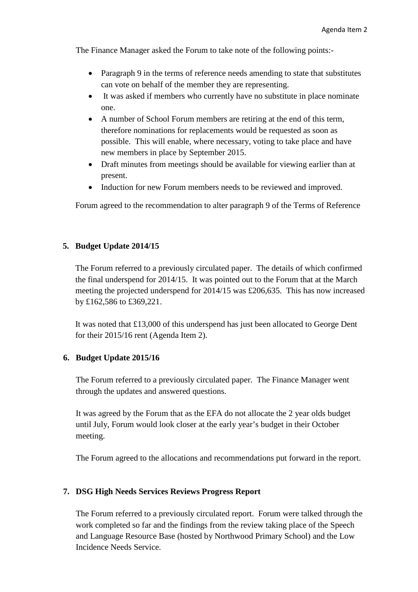The Finance Manager asked the Forum to take note of the following points:-

- Paragraph 9 in the terms of reference needs amending to state that substitutes can vote on behalf of the member they are representing.
- It was asked if members who currently have no substitute in place nominate one.
- A number of School Forum members are retiring at the end of this term, therefore nominations for replacements would be requested as soon as possible. This will enable, where necessary, voting to take place and have new members in place by September 2015.
- Draft minutes from meetings should be available for viewing earlier than at present.
- Induction for new Forum members needs to be reviewed and improved.

Forum agreed to the recommendation to alter paragraph 9 of the Terms of Reference

# **5. Budget Update 2014/15**

The Forum referred to a previously circulated paper. The details of which confirmed the final underspend for 2014/15. It was pointed out to the Forum that at the March meeting the projected underspend for 2014/15 was £206,635. This has now increased by £162,586 to £369,221.

It was noted that £13,000 of this underspend has just been allocated to George Dent for their 2015/16 rent (Agenda Item 2).

# **6. Budget Update 2015/16**

The Forum referred to a previously circulated paper. The Finance Manager went through the updates and answered questions.

It was agreed by the Forum that as the EFA do not allocate the 2 year olds budget until July, Forum would look closer at the early year's budget in their October meeting.

The Forum agreed to the allocations and recommendations put forward in the report.

# **7. DSG High Needs Services Reviews Progress Report**

The Forum referred to a previously circulated report. Forum were talked through the work completed so far and the findings from the review taking place of the Speech and Language Resource Base (hosted by Northwood Primary School) and the Low Incidence Needs Service.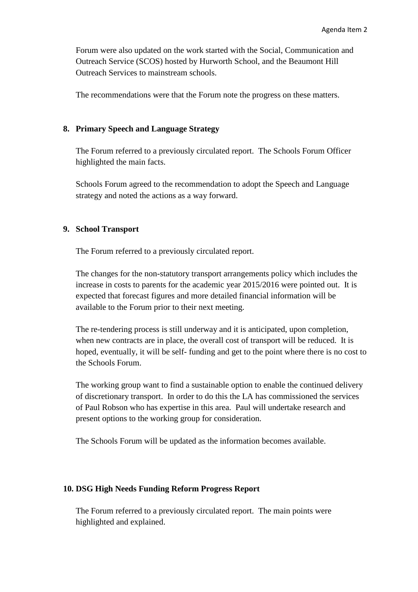Forum were also updated on the work started with the Social, Communication and Outreach Service (SCOS) hosted by Hurworth School, and the Beaumont Hill Outreach Services to mainstream schools.

The recommendations were that the Forum note the progress on these matters.

#### **8. Primary Speech and Language Strategy**

The Forum referred to a previously circulated report. The Schools Forum Officer highlighted the main facts.

Schools Forum agreed to the recommendation to adopt the Speech and Language strategy and noted the actions as a way forward.

# **9. School Transport**

The Forum referred to a previously circulated report.

The changes for the non-statutory transport arrangements policy which includes the increase in costs to parents for the academic year 2015/2016 were pointed out. It is expected that forecast figures and more detailed financial information will be available to the Forum prior to their next meeting.

The re-tendering process is still underway and it is anticipated, upon completion, when new contracts are in place, the overall cost of transport will be reduced. It is hoped, eventually, it will be self- funding and get to the point where there is no cost to the Schools Forum.

The working group want to find a sustainable option to enable the continued delivery of discretionary transport. In order to do this the LA has commissioned the services of Paul Robson who has expertise in this area. Paul will undertake research and present options to the working group for consideration.

The Schools Forum will be updated as the information becomes available.

#### **10. DSG High Needs Funding Reform Progress Report**

The Forum referred to a previously circulated report. The main points were highlighted and explained.